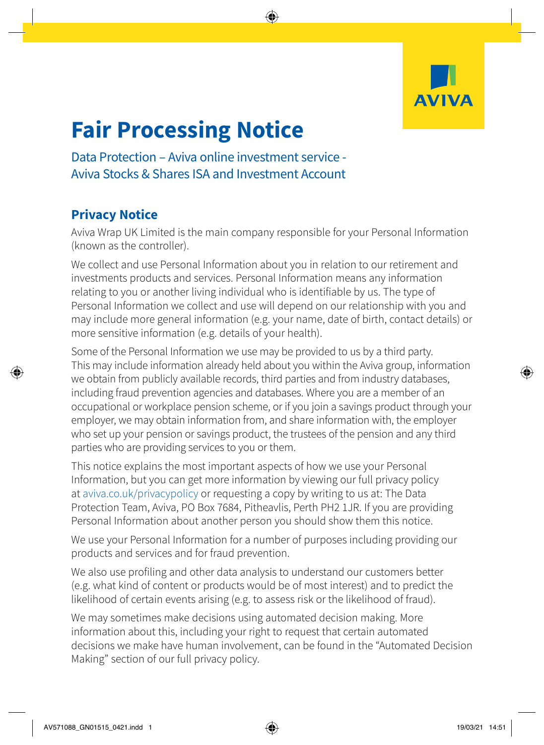

## **Fair Processing Notice**

Data Protection – Aviva online investment service - Aviva Stocks & Shares ISA and Investment Account

## **Privacy Notice**

Aviva Wrap UK Limited is the main company responsible for your Personal Information (known as the controller).

We collect and use Personal Information about you in relation to our retirement and investments products and services. Personal Information means any information relating to you or another living individual who is identifiable by us. The type of Personal Information we collect and use will depend on our relationship with you and may include more general information (e.g. your name, date of birth, contact details) or more sensitive information (e.g. details of your health).

Some of the Personal Information we use may be provided to us by a third party. This may include information already held about you within the Aviva group, information we obtain from publicly available records, third parties and from industry databases, including fraud prevention agencies and databases. Where you are a member of an occupational or workplace pension scheme, or if you join a savings product through your employer, we may obtain information from, and share information with, the employer who set up your pension or savings product, the trustees of the pension and any third parties who are providing services to you or them.

This notice explains the most important aspects of how we use your Personal Information, but you can get more information by viewing our full privacy policy at [aviva.co.uk/privacypolicy](http://aviva.co.uk/privacypolicy) or requesting a copy by writing to us at: The Data Protection Team, Aviva, PO Box 7684, Pitheavlis, Perth PH2 1JR. If you are providing Personal Information about another person you should show them this notice.

We use your Personal Information for a number of purposes including providing our products and services and for fraud prevention.

We also use profiling and other data analysis to understand our customers better (e.g. what kind of content or products would be of most interest) and to predict the likelihood of certain events arising (e.g. to assess risk or the likelihood of fraud).

We may sometimes make decisions using automated decision making. More information about this, including your right to request that certain automated decisions we make have human involvement, can be found in the "Automated Decision Making" section of our full privacy policy.